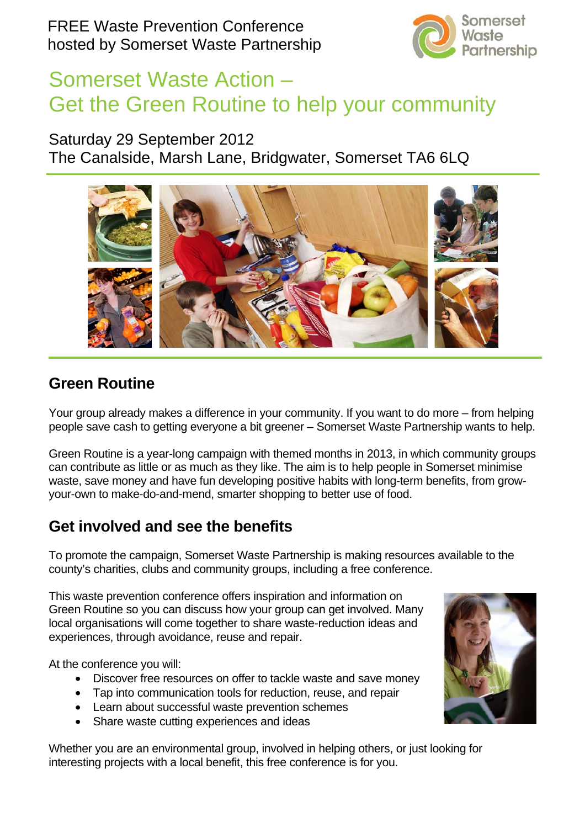

# Somerset Waste Action – Get the Green Routine to help your community

### Saturday 29 September 2012

The Canalside, Marsh Lane, Bridgwater, Somerset TA6 6LQ



# **Green Routine**

Your group already makes a difference in your community. If you want to do more – from helping people save cash to getting everyone a bit greener – Somerset Waste Partnership wants to help.

Green Routine is a year-long campaign with themed months in 2013, in which community groups can contribute as little or as much as they like. The aim is to help people in Somerset minimise waste, save money and have fun developing positive habits with long-term benefits, from growyour-own to make-do-and-mend, smarter shopping to better use of food.

# **Get involved and see the benefits**

To promote the campaign, Somerset Waste Partnership is making resources available to the county's charities, clubs and community groups, including a free conference.

This waste prevention conference offers inspiration and information on Green Routine so you can discuss how your group can get involved. Many local organisations will come together to share waste-reduction ideas and experiences, through avoidance, reuse and repair.

At the conference you will:

- Discover free resources on offer to tackle waste and save money
- Tap into communication tools for reduction, reuse, and repair
- Learn about successful waste prevention schemes
- Share waste cutting experiences and ideas

Whether you are an environmental group, involved in helping others, or just looking for interesting projects with a local benefit, this free conference is for you.

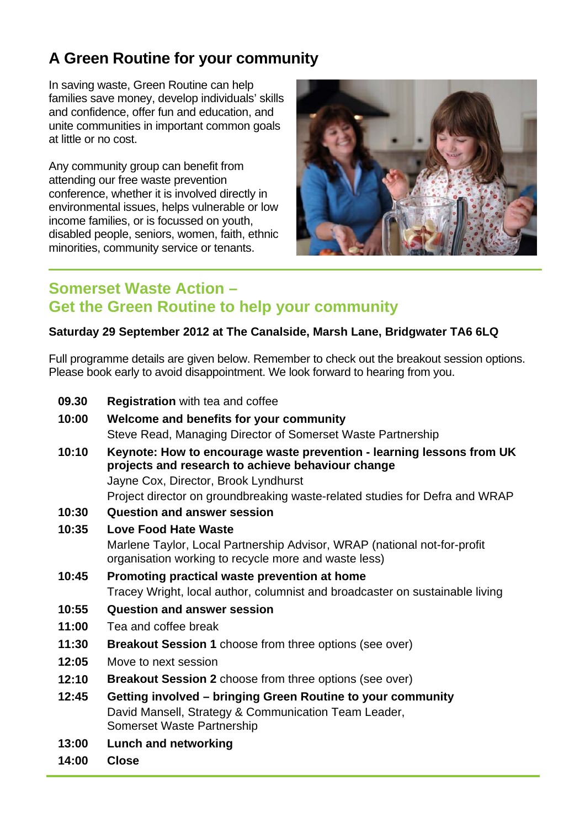# **A Green Routine for your community**

In saving waste, Green Routine can help families save money, develop individuals' skills and confidence, offer fun and education, and unite communities in important common goals at little or no cost.

Any community group can benefit from attending our free waste prevention conference, whether it is involved directly in environmental issues, helps vulnerable or low income families, or is focussed on youth, disabled people, seniors, women, faith, ethnic minorities, community service or tenants.



### **Somerset Waste Action – Get the Green Routine to help your community**

#### **Saturday 29 September 2012 at The Canalside, Marsh Lane, Bridgwater TA6 6LQ**

Full programme details are given below. Remember to check out the breakout session options. Please book early to avoid disappointment. We look forward to hearing from you.

| 09.30 | <b>Registration</b> with tea and coffee                                                                                                                            |
|-------|--------------------------------------------------------------------------------------------------------------------------------------------------------------------|
| 10:00 | Welcome and benefits for your community                                                                                                                            |
|       | Steve Read, Managing Director of Somerset Waste Partnership                                                                                                        |
| 10:10 | Keynote: How to encourage waste prevention - learning lessons from UK<br>projects and research to achieve behaviour change<br>Jayne Cox, Director, Brook Lyndhurst |
| 10:30 | Project director on groundbreaking waste-related studies for Defra and WRAP<br><b>Question and answer session</b>                                                  |
| 10:35 | <b>Love Food Hate Waste</b>                                                                                                                                        |
|       | Marlene Taylor, Local Partnership Advisor, WRAP (national not-for-profit<br>organisation working to recycle more and waste less)                                   |
| 10:45 | Promoting practical waste prevention at home                                                                                                                       |
|       | Tracey Wright, local author, columnist and broadcaster on sustainable living                                                                                       |
| 10:55 | <b>Question and answer session</b>                                                                                                                                 |
| 11:00 | Tea and coffee break                                                                                                                                               |
| 11:30 | <b>Breakout Session 1</b> choose from three options (see over)                                                                                                     |
| 12:05 | Move to next session                                                                                                                                               |
| 12:10 | <b>Breakout Session 2</b> choose from three options (see over)                                                                                                     |
| 12:45 | Getting involved - bringing Green Routine to your community                                                                                                        |
|       | David Mansell, Strategy & Communication Team Leader,<br>Somerset Waste Partnership                                                                                 |
| 13:00 | <b>Lunch and networking</b>                                                                                                                                        |
| 14:00 | <b>Close</b>                                                                                                                                                       |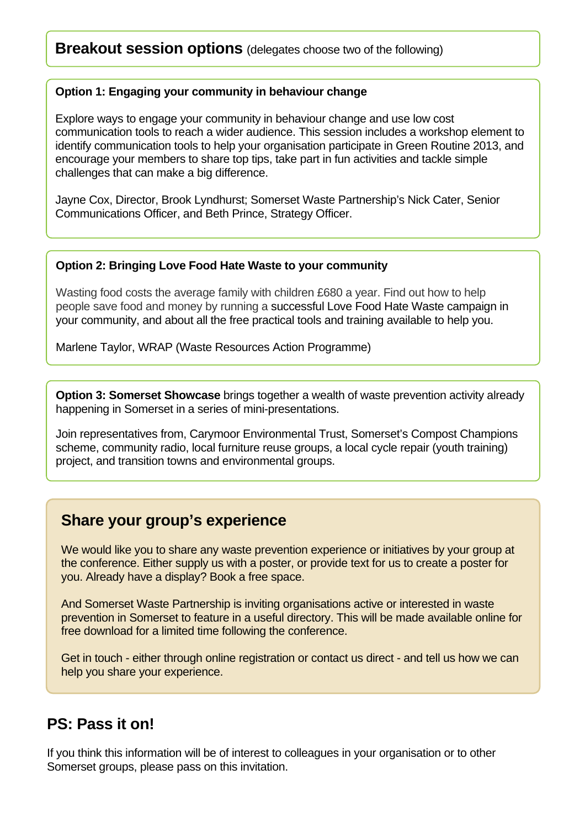### **Breakout session options** (delegates choose two of the following)

#### **Option 1: Engaging your community in behaviour change**

Explore ways to engage your community in behaviour change and use low cost communication tools to reach a wider audience. This session includes a workshop element to identify communication tools to help your organisation participate in Green Routine 2013, and encourage your members to share top tips, take part in fun activities and tackle simple challenges that can make a big difference.

Jayne Cox, Director, Brook Lyndhurst; Somerset Waste Partnership's Nick Cater, Senior Communications Officer, and Beth Prince, Strategy Officer.

#### **Option 2: Bringing Love Food Hate Waste to your community**

Wasting food costs the average family with children £680 a year. Find out how to help people save food and money by running a successful Love Food Hate Waste campaign in your community, and about all the free practical tools and training available to help you.

Marlene Taylor, WRAP (Waste Resources Action Programme)

**Option 3: Somerset Showcase** brings together a wealth of waste prevention activity already happening in Somerset in a series of mini-presentations.

Join representatives from, Carymoor Environmental Trust, Somerset's Compost Champions scheme, community radio, local furniture reuse groups, a local cycle repair (youth training) project, and transition towns and environmental groups.

### **Share your group's experience**

We would like you to share any waste prevention experience or initiatives by your group at the conference. Either supply us with a poster, or provide text for us to create a poster for you. Already have a display? Book a free space.

And Somerset Waste Partnership is inviting organisations active or interested in waste prevention in Somerset to feature in a useful directory. This will be made available online for free download for a limited time following the conference.

Get in touch - either through online registration or contact us direct - and tell us how we can help you share your experience.

### **PS: Pass it on!**

If you think this information will be of interest to colleagues in your organisation or to other Somerset groups, please pass on this invitation.